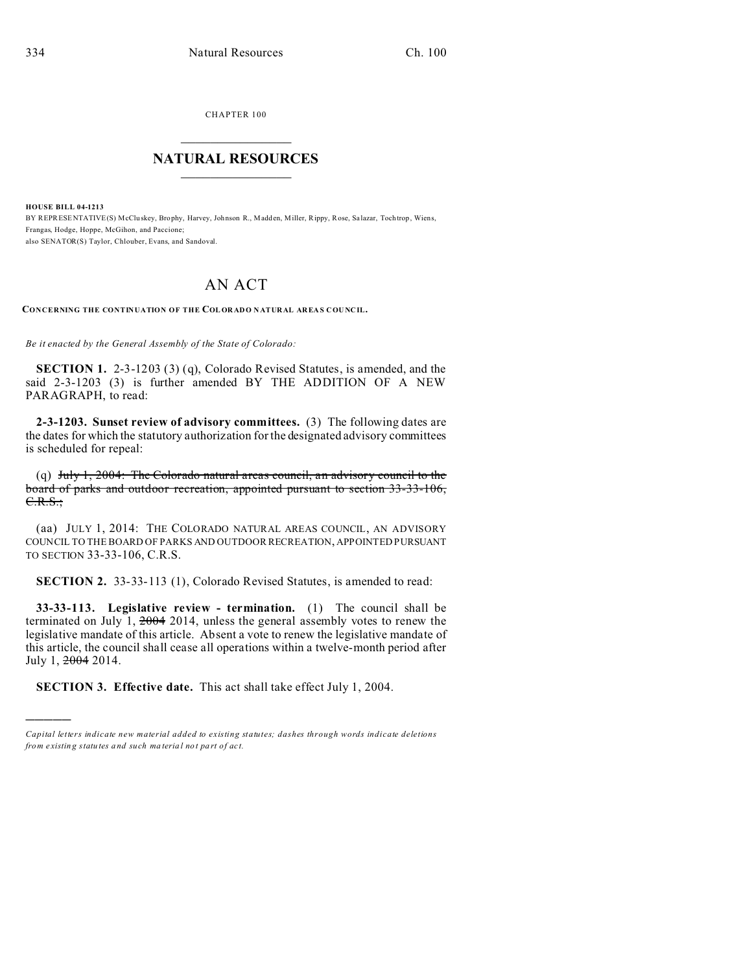)))))

CHAPTER 100  $\overline{\phantom{a}}$  , where  $\overline{\phantom{a}}$ 

## **NATURAL RESOURCES**  $\frac{1}{\sqrt{2}}$  ,  $\frac{1}{\sqrt{2}}$  ,  $\frac{1}{\sqrt{2}}$  ,  $\frac{1}{\sqrt{2}}$  ,  $\frac{1}{\sqrt{2}}$  ,  $\frac{1}{\sqrt{2}}$

**HOUSE BILL 04-1213** BY REPRESENTATIVE(S) McClu skey, Brophy, Harvey, Johnson R., Madden, Miller, Rippy, Rose, Sa lazar, Tochtrop , Wiens, Frangas, Hodge, Hoppe, McGihon, and Paccione; also SENATOR(S) Taylor, Chlouber, Evans, and Sandoval.

## AN ACT

**CONCERNING THE CONTINUATION OF THE COL OR ADO N ATURAL AREA S COU NCIL.**

*Be it enacted by the General Assembly of the State of Colorado:*

**SECTION 1.** 2-3-1203 (3) (q), Colorado Revised Statutes, is amended, and the said 2-3-1203 (3) is further amended BY THE ADDITION OF A NEW PARAGRAPH, to read:

**2-3-1203. Sunset review of advisory committees.** (3) The following dates are the dates for which the statutory authorization for the designated advisory committees is scheduled for repeal:

(q) July 1, 2004: The Colorado natural areas council, an advisory council to the board of parks and outdoor recreation, appointed pursuant to section 33-33-106,  $C.R.S.:$ 

(aa) JULY 1, 2014: THE COLORADO NATURAL AREAS COUNCIL, AN ADVISORY COUNCIL TO THE BOARD OF PARKS AND OUTDOOR RECREATION, APPOINTED PURSUANT TO SECTION 33-33-106, C.R.S.

**SECTION 2.** 33-33-113 (1), Colorado Revised Statutes, is amended to read:

**33-33-113. Legislative review - termination.** (1) The council shall be terminated on July 1, 2004 2014, unless the general assembly votes to renew the legislative mandate of this article. Absent a vote to renew the legislative mandate of this article, the council shall cease all operations within a twelve-month period after July 1, 2004 2014.

**SECTION 3. Effective date.** This act shall take effect July 1, 2004.

*Capital letters indicate new material added to existing statutes; dashes through words indicate deletions from e xistin g statu tes a nd such ma teria l no t pa rt of ac t.*